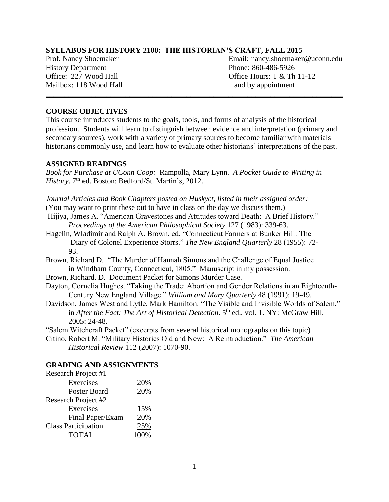#### **SYLLABUS FOR HISTORY 2100: THE HISTORIAN'S CRAFT, FALL 2015**

History Department Phone: 860-486-5926 Mailbox: 118 Wood Hall and by appointment

Prof. Nancy Shoemaker **Email: nancy.shoemaker@uconn.edu** Office: 227 Wood Hall Office Hours: T & Th 11-12

#### **COURSE OBJECTIVES**

This course introduces students to the goals, tools, and forms of analysis of the historical profession. Students will learn to distinguish between evidence and interpretation (primary and secondary sources), work with a variety of primary sources to become familiar with materials historians commonly use, and learn how to evaluate other historians' interpretations of the past.

\_\_\_\_\_\_\_\_\_\_\_\_\_\_\_\_\_\_\_\_\_\_\_\_\_\_\_\_\_\_\_\_\_\_\_\_\_\_\_\_\_\_\_\_\_\_\_\_\_\_\_\_\_\_\_\_\_\_\_\_\_\_\_\_\_\_\_\_\_\_\_\_\_\_\_\_\_\_

#### **ASSIGNED READINGS**

*Book for Purchase at UConn Coop:* Rampolla, Mary Lynn. *A Pocket Guide to Writing in History*. 7<sup>th</sup> ed. Boston: Bedford/St. Martin's, 2012.

*Journal Articles and Book Chapters posted on Huskyct, listed in their assigned order:* (You may want to print these out to have in class on the day we discuss them.)

Hijiya, James A. "American Gravestones and Attitudes toward Death: A Brief History." *Proceedings of the American Philosophical Society* 127 (1983): 339-63.

- Hagelin, Wladimir and Ralph A. Brown, ed. "Connecticut Farmers at Bunker Hill: The Diary of Colonel Experience Storrs." *The New England Quarterly* 28 (1955): 72- 93.
- Brown, Richard D. "The Murder of Hannah Simons and the Challenge of Equal Justice in Windham County, Connecticut, 1805." Manuscript in my possession.
- Brown, Richard. D. Document Packet for Simons Murder Case.
- Dayton, Cornelia Hughes. "Taking the Trade: Abortion and Gender Relations in an Eighteenth-Century New England Village." *William and Mary Quarterly* 48 (1991): 19-49.
- Davidson, James West and Lytle, Mark Hamilton. "The Visible and Invisible Worlds of Salem," in *After the Fact: The Art of Historical Detection*. 5<sup>th</sup> ed., vol. 1. NY: McGraw Hill, 2005: 24-48.
- "Salem Witchcraft Packet" (excerpts from several historical monographs on this topic)
- Citino, Robert M. "Military Histories Old and New: A Reintroduction." *The American Historical Review* 112 (2007): 1070-90.

#### **GRADING AND ASSIGNMENTS**

| Research Project #1        |      |  |
|----------------------------|------|--|
| Exercises                  | 20%  |  |
| <b>Poster Board</b>        | 20%  |  |
| Research Project #2        |      |  |
| Exercises                  | 15%  |  |
| Final Paper/Exam           | 20%  |  |
| <b>Class Participation</b> | 25%  |  |
| <b>TOTAL</b>               | 100% |  |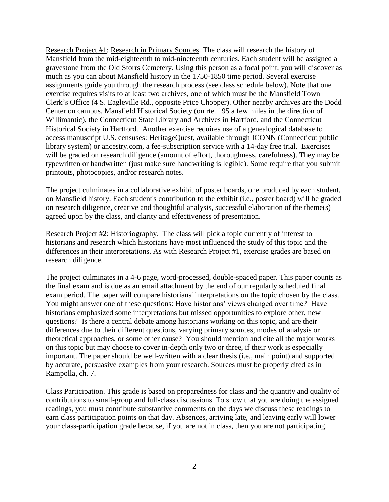Research Project #1: Research in Primary Sources. The class will research the history of Mansfield from the mid-eighteenth to mid-nineteenth centuries. Each student will be assigned a gravestone from the Old Storrs Cemetery. Using this person as a focal point, you will discover as much as you can about Mansfield history in the 1750-1850 time period. Several exercise assignments guide you through the research process (see class schedule below). Note that one exercise requires visits to at least two archives, one of which must be the Mansfield Town Clerk's Office (4 S. Eagleville Rd., opposite Price Chopper). Other nearby archives are the Dodd Center on campus, Mansfield Historical Society (on rte. 195 a few miles in the direction of Willimantic), the Connecticut State Library and Archives in Hartford, and the Connecticut Historical Society in Hartford. Another exercise requires use of a genealogical database to access manuscript U.S. censuses: HeritageQuest, available through ICONN (Connecticut public library system) or ancestry.com, a fee-subscription service with a 14-day free trial. Exercises will be graded on research diligence (amount of effort, thoroughness, carefulness). They may be typewritten or handwritten (just make sure handwriting is legible). Some require that you submit printouts, photocopies, and/or research notes.

The project culminates in a collaborative exhibit of poster boards, one produced by each student, on Mansfield history. Each student's contribution to the exhibit (i.e., poster board) will be graded on research diligence, creative and thoughtful analysis, successful elaboration of the theme(s) agreed upon by the class, and clarity and effectiveness of presentation.

Research Project #2: Historiography. The class will pick a topic currently of interest to historians and research which historians have most influenced the study of this topic and the differences in their interpretations. As with Research Project #1, exercise grades are based on research diligence.

The project culminates in a 4-6 page, word-processed, double-spaced paper. This paper counts as the final exam and is due as an email attachment by the end of our regularly scheduled final exam period. The paper will compare historians' interpretations on the topic chosen by the class. You might answer one of these questions: Have historians' views changed over time? Have historians emphasized some interpretations but missed opportunities to explore other, new questions? Is there a central debate among historians working on this topic, and are their differences due to their different questions, varying primary sources, modes of analysis or theoretical approaches, or some other cause? You should mention and cite all the major works on this topic but may choose to cover in-depth only two or three, if their work is especially important. The paper should be well-written with a clear thesis (i.e., main point) and supported by accurate, persuasive examples from your research. Sources must be properly cited as in Rampolla, ch. 7.

Class Participation. This grade is based on preparedness for class and the quantity and quality of contributions to small-group and full-class discussions. To show that you are doing the assigned readings, you must contribute substantive comments on the days we discuss these readings to earn class participation points on that day. Absences, arriving late, and leaving early will lower your class-participation grade because, if you are not in class, then you are not participating.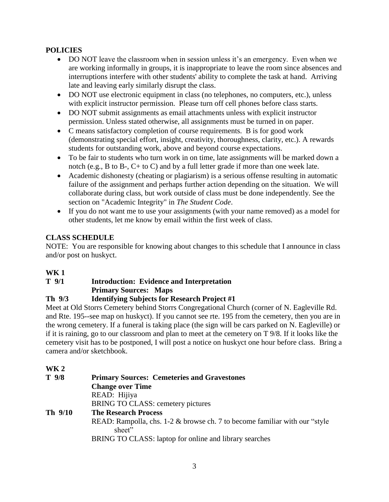## **POLICIES**

- DO NOT leave the classroom when in session unless it's an emergency. Even when we are working informally in groups, it is inappropriate to leave the room since absences and interruptions interfere with other students' ability to complete the task at hand. Arriving late and leaving early similarly disrupt the class.
- DO NOT use electronic equipment in class (no telephones, no computers, etc.), unless with explicit instructor permission. Please turn off cell phones before class starts.
- DO NOT submit assignments as email attachments unless with explicit instructor permission. Unless stated otherwise, all assignments must be turned in on paper.
- C means satisfactory completion of course requirements. B is for good work (demonstrating special effort, insight, creativity, thoroughness, clarity, etc.). A rewards students for outstanding work, above and beyond course expectations.
- To be fair to students who turn work in on time, late assignments will be marked down a notch (e.g., B to B-, C+ to C) and by a full letter grade if more than one week late.
- Academic dishonesty (cheating or plagiarism) is a serious offense resulting in automatic failure of the assignment and perhaps further action depending on the situation. We will collaborate during class, but work outside of class must be done independently. See the section on "Academic Integrity" in *The Student Code*.
- If you do not want me to use your assignments (with your name removed) as a model for other students, let me know by email within the first week of class.

## **CLASS SCHEDULE**

NOTE: You are responsible for knowing about changes to this schedule that I announce in class and/or post on huskyct.

# **WK 1**

## **T 9/1 Introduction: Evidence and Interpretation Primary Sources: Maps**

## **Th 9/3 Identifying Subjects for Research Project #1**

Meet at Old Storrs Cemetery behind Storrs Congregational Church (corner of N. Eagleville Rd. and Rte. 195--see map on huskyct). If you cannot see rte. 195 from the cemetery, then you are in the wrong cemetery. If a funeral is taking place (the sign will be cars parked on N. Eagleville) or if it is raining, go to our classroom and plan to meet at the cemetery on T 9/8. If it looks like the cemetery visit has to be postponed, I will post a notice on huskyct one hour before class. Bring a camera and/or sketchbook.

## **WK 2**

| $T$ 9/8 | <b>Primary Sources: Cemeteries and Gravestones</b>                                      |
|---------|-----------------------------------------------------------------------------------------|
|         | <b>Change over Time</b>                                                                 |
|         | READ: Hijiya                                                                            |
|         | BRING TO CLASS: cemetery pictures                                                       |
| Th 9/10 | <b>The Research Process</b>                                                             |
|         | READ: Rampolla, chs. $1-2$ & browse ch. 7 to become familiar with our "style"<br>sheet" |
|         | BRING TO CLASS: laptop for online and library searches                                  |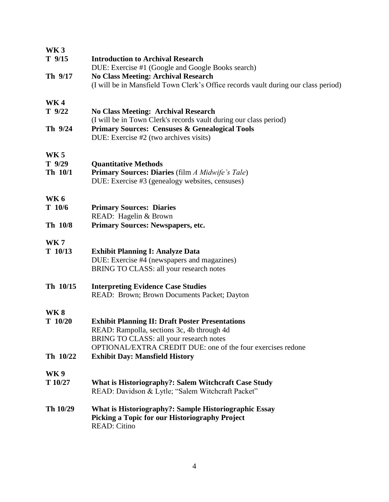| <b>WK3</b>                        |                                                                                                                                                                                                                |
|-----------------------------------|----------------------------------------------------------------------------------------------------------------------------------------------------------------------------------------------------------------|
| $T$ 9/15                          | <b>Introduction to Archival Research</b><br>DUE: Exercise #1 (Google and Google Books search)                                                                                                                  |
| Th 9/17                           | <b>No Class Meeting: Archival Research</b><br>(I will be in Mansfield Town Clerk's Office records vault during our class period)                                                                               |
| <b>WK4</b><br>$T$ 9/22            | <b>No Class Meeting: Archival Research</b><br>(I will be in Town Clerk's records vault during our class period)                                                                                                |
| Th 9/24                           | <b>Primary Sources: Censuses &amp; Genealogical Tools</b><br>DUE: Exercise #2 (two archives visits)                                                                                                            |
| <b>WK5</b><br>$T$ 9/29<br>Th 10/1 | <b>Quantitative Methods</b><br>Primary Sources: Diaries (film A Midwife's Tale)<br>DUE: Exercise #3 (genealogy websites, censuses)                                                                             |
| <b>WK6</b><br>T 10/6              | <b>Primary Sources: Diaries</b><br>READ: Hagelin & Brown                                                                                                                                                       |
| Th 10/8                           | <b>Primary Sources: Newspapers, etc.</b>                                                                                                                                                                       |
| <b>WK7</b><br>$T$ 10/13           | <b>Exhibit Planning I: Analyze Data</b><br>DUE: Exercise #4 (newspapers and magazines)<br>BRING TO CLASS: all your research notes                                                                              |
| Th 10/15                          | <b>Interpreting Evidence Case Studies</b><br>READ: Brown; Brown Documents Packet; Dayton                                                                                                                       |
| <b>WK8</b><br>$T$ 10/20           | <b>Exhibit Planning II: Draft Poster Presentations</b><br>READ: Rampolla, sections 3c, 4b through 4d<br>BRING TO CLASS: all your research notes<br>OPTIONAL/EXTRA CREDIT DUE: one of the four exercises redone |
| Th 10/22                          | <b>Exhibit Day: Mansfield History</b>                                                                                                                                                                          |
| <b>WK9</b><br>T 10/27             | <b>What is Historiography?: Salem Witchcraft Case Study</b><br>READ: Davidson & Lytle; "Salem Witchcraft Packet"                                                                                               |
| Th 10/29                          | What is Historiography?: Sample Historiographic Essay<br>Picking a Topic for our Historiography Project<br><b>READ: Citino</b>                                                                                 |